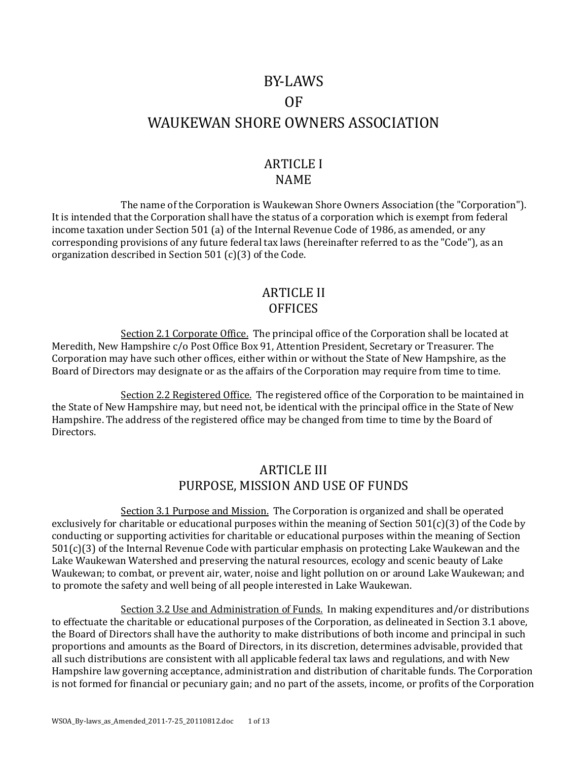# BY-LAWS OF WAUKEWAN SHORE OWNERS ASSOCIATION

## ARTICLE I NAME

The name of the Corporation is Waukewan Shore Owners Association (the "Corporation"). It is intended that the Corporation shall have the status of a corporation which is exempt from federal income taxation under Section 501 (a) of the Internal Revenue Code of 1986, as amended, or any corresponding provisions of any future federal tax laws (hereinafter referred to as the "Code"), as an organization described in Section 501 (c)(3) of the Code.

#### ARTICLE II **OFFICES**

Section 2.1 Corporate Office. The principal office of the Corporation shall be located at Meredith, New Hampshire c/o Post Office Box 91, Attention President, Secretary or Treasurer. The Corporation may have such other offices, either within or without the State of New Hampshire, as the Board of Directors may designate or as the affairs of the Corporation may require from time to time.

Section 2.2 Registered Office. The registered office of the Corporation to be maintained in the State of New Hampshire may, but need not, be identical with the principal office in the State of New Hampshire. The address of the registered office may be changed from time to time by the Board of Directors.

# ARTICLE III PURPOSE, MISSION AND USE OF FUNDS

Section 3.1 Purpose and Mission. The Corporation is organized and shall be operated exclusively for charitable or educational purposes within the meaning of Section 501(c)(3) of the Code by conducting or supporting activities for charitable or educational purposes within the meaning of Section 501(c)(3) of the Internal Revenue Code with particular emphasis on protecting Lake Waukewan and the Lake Waukewan Watershed and preserving the natural resources, ecology and scenic beauty of Lake Waukewan; to combat, or prevent air, water, noise and light pollution on or around Lake Waukewan; and to promote the safety and well being of all people interested in Lake Waukewan.

Section 3.2 Use and Administration of Funds. In making expenditures and/or distributions to effectuate the charitable or educational purposes of the Corporation, as delineated in Section 3.1 above, the Board of Directors shall have the authority to make distributions of both income and principal in such proportions and amounts as the Board of Directors, in its discretion, determines advisable, provided that all such distributions are consistent with all applicable federal tax laws and regulations, and with New Hampshire law governing acceptance, administration and distribution of charitable funds. The Corporation is not formed for financial or pecuniary gain; and no part of the assets, income, or profits of the Corporation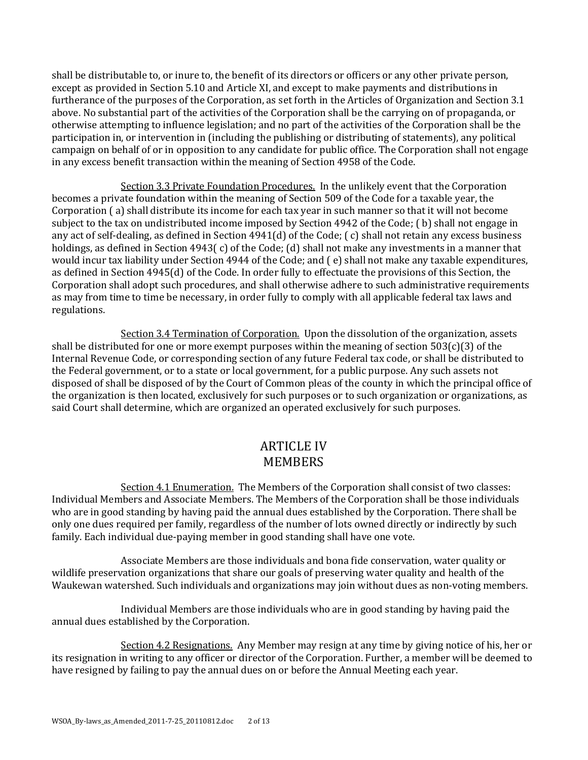shall be distributable to, or inure to, the benefit of its directors or officers or any other private person, except as provided in Section 5.10 and Article XI, and except to make payments and distributions in furtherance of the purposes of the Corporation, as set forth in the Articles of Organization and Section 3.1 above. No substantial part of the activities of the Corporation shall be the carrying on of propaganda, or otherwise attempting to influence legislation; and no part of the activities of the Corporation shall be the participation in, or intervention in (including the publishing or distributing of statements), any political campaign on behalf of or in opposition to any candidate for public office. The Corporation shall not engage in any excess benefit transaction within the meaning of Section 4958 of the Code.

Section 3.3 Private Foundation Procedures. In the unlikely event that the Corporation becomes a private foundation within the meaning of Section 509 of the Code for a taxable year, the Corporation ( a) shall distribute its income for each tax year in such manner so that it will not become subject to the tax on undistributed income imposed by Section 4942 of the Code; ( b) shall not engage in any act of self-dealing, as defined in Section 4941(d) of the Code; ( c) shall not retain any excess business holdings, as defined in Section 4943(c) of the Code; (d) shall not make any investments in a manner that would incur tax liability under Section 4944 of the Code; and ( e) shall not make any taxable expenditures, as defined in Section 4945(d) of the Code. In order fully to effectuate the provisions of this Section, the Corporation shall adopt such procedures, and shall otherwise adhere to such administrative requirements as may from time to time be necessary, in order fully to comply with all applicable federal tax laws and regulations.

Section 3.4 Termination of Corporation. Upon the dissolution of the organization, assets shall be distributed for one or more exempt purposes within the meaning of section  $503(c)(3)$  of the Internal Revenue Code, or corresponding section of any future Federal tax code, or shall be distributed to the Federal government, or to a state or local government, for a public purpose. Any such assets not disposed of shall be disposed of by the Court of Common pleas of the county in which the principal office of the organization is then located, exclusively for such purposes or to such organization or organizations, as said Court shall determine, which are organized an operated exclusively for such purposes.

# ARTICLE IV **MEMBERS**

Section 4.1 Enumeration. The Members of the Corporation shall consist of two classes: Individual Members and Associate Members. The Members of the Corporation shall be those individuals who are in good standing by having paid the annual dues established by the Corporation. There shall be only one dues required per family, regardless of the number of lots owned directly or indirectly by such family. Each individual due-paying member in good standing shall have one vote.

Associate Members are those individuals and bona fide conservation, water quality or wildlife preservation organizations that share our goals of preserving water quality and health of the Waukewan watershed. Such individuals and organizations may join without dues as non-voting members.

Individual Members are those individuals who are in good standing by having paid the annual dues established by the Corporation.

Section 4.2 Resignations. Any Member may resign at any time by giving notice of his, her or its resignation in writing to any officer or director of the Corporation. Further, a member will be deemed to have resigned by failing to pay the annual dues on or before the Annual Meeting each year.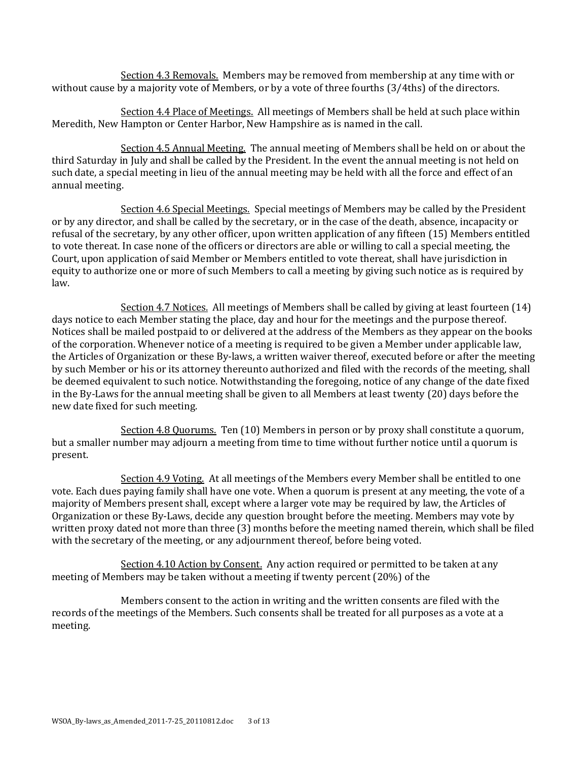Section 4.3 Removals. Members may be removed from membership at any time with or without cause by a majority vote of Members, or by a vote of three fourths (3/4ths) of the directors.

Section 4.4 Place of Meetings. All meetings of Members shall be held at such place within Meredith, New Hampton or Center Harbor, New Hampshire as is named in the call.

Section 4.5 Annual Meeting. The annual meeting of Members shall be held on or about the third Saturday in July and shall be called by the President. In the event the annual meeting is not held on such date, a special meeting in lieu of the annual meeting may be held with all the force and effect of an annual meeting.

Section 4.6 Special Meetings. Special meetings of Members may be called by the President or by any director, and shall be called by the secretary, or in the case of the death, absence, incapacity or refusal of the secretary, by any other officer, upon written application of any fifteen (15) Members entitled to vote thereat. In case none of the officers or directors are able or willing to call a special meeting, the Court, upon application of said Member or Members entitled to vote thereat, shall have jurisdiction in equity to authorize one or more of such Members to call a meeting by giving such notice as is required by law.

Section 4.7 Notices. All meetings of Members shall be called by giving at least fourteen (14) days notice to each Member stating the place, day and hour for the meetings and the purpose thereof. Notices shall be mailed postpaid to or delivered at the address of the Members as they appear on the books of the corporation. Whenever notice of a meeting is required to be given a Member under applicable law, the Articles of Organization or these By-laws, a written waiver thereof, executed before or after the meeting by such Member or his or its attorney thereunto authorized and filed with the records of the meeting, shall be deemed equivalent to such notice. Notwithstanding the foregoing, notice of any change of the date fixed in the By-Laws for the annual meeting shall be given to all Members at least twenty (20) days before the new date fixed for such meeting.

Section 4.8 Quorums. Ten (10) Members in person or by proxy shall constitute a quorum, but a smaller number may adjourn a meeting from time to time without further notice until a quorum is present.

Section 4.9 Voting. At all meetings of the Members every Member shall be entitled to one vote. Each dues paying family shall have one vote. When a quorum is present at any meeting, the vote of a majority of Members present shall, except where a larger vote may be required by law, the Articles of Organization or these By-Laws, decide any question brought before the meeting. Members may vote by written proxy dated not more than three (3) months before the meeting named therein, which shall be filed with the secretary of the meeting, or any adjournment thereof, before being voted.

Section 4.10 Action by Consent. Any action required or permitted to be taken at any meeting of Members may be taken without a meeting if twenty percent (20%) of the

Members consent to the action in writing and the written consents are filed with the records of the meetings of the Members. Such consents shall be treated for all purposes as a vote at a meeting.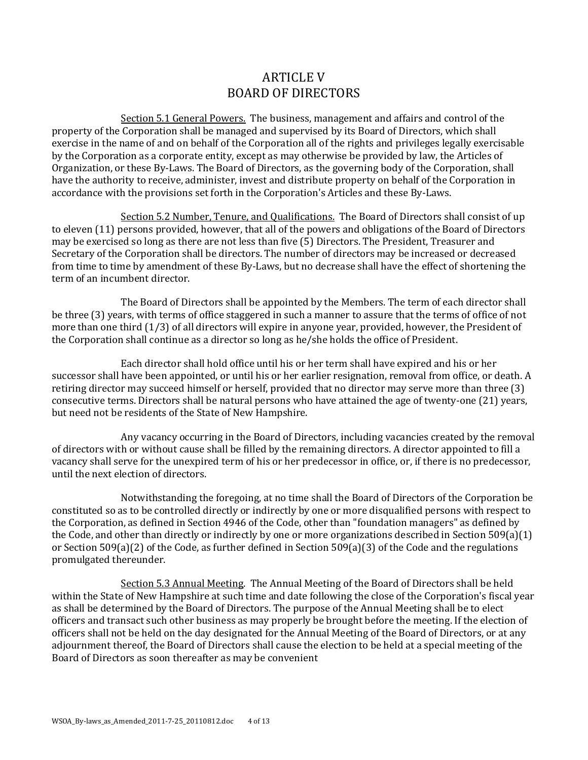## ARTICLE V BOARD OF DIRECTORS

Section 5.1 General Powers. The business, management and affairs and control of the property of the Corporation shall be managed and supervised by its Board of Directors, which shall exercise in the name of and on behalf of the Corporation all of the rights and privileges legally exercisable by the Corporation as a corporate entity, except as may otherwise be provided by law, the Articles of Organization, or these By-Laws. The Board of Directors, as the governing body of the Corporation, shall have the authority to receive, administer, invest and distribute property on behalf of the Corporation in accordance with the provisions set forth in the Corporation's Articles and these By-Laws.

Section 5.2 Number, Tenure, and Qualifications. The Board of Directors shall consist of up to eleven (11) persons provided, however, that all of the powers and obligations of the Board of Directors may be exercised so long as there are not less than five (5) Directors. The President, Treasurer and Secretary of the Corporation shall be directors. The number of directors may be increased or decreased from time to time by amendment of these By-Laws, but no decrease shall have the effect of shortening the term of an incumbent director.

The Board of Directors shall be appointed by the Members. The term of each director shall be three (3) years, with terms of office staggered in such a manner to assure that the terms of office of not more than one third (1/3) of all directors will expire in anyone year, provided, however, the President of the Corporation shall continue as a director so long as he/she holds the office of President.

Each director shall hold office until his or her term shall have expired and his or her successor shall have been appointed, or until his or her earlier resignation, removal from office, or death. A retiring director may succeed himself or herself, provided that no director may serve more than three (3) consecutive terms. Directors shall be natural persons who have attained the age of twenty-one (21) years, but need not be residents of the State of New Hampshire.

Any vacancy occurring in the Board of Directors, including vacancies created by the removal of directors with or without cause shall be filled by the remaining directors. A director appointed to fill a vacancy shall serve for the unexpired term of his or her predecessor in office, or, if there is no predecessor, until the next election of directors.

Notwithstanding the foregoing, at no time shall the Board of Directors of the Corporation be constituted so as to be controlled directly or indirectly by one or more disqualified persons with respect to the Corporation, as defined in Section 4946 of the Code, other than "foundation managers" as defined by the Code, and other than directly or indirectly by one or more organizations described in Section 509(a)(1) or Section 509(a)(2) of the Code, as further defined in Section 509(a)(3) of the Code and the regulations promulgated thereunder.

Section 5.3 Annual Meeting. The Annual Meeting of the Board of Directors shall be held within the State of New Hampshire at such time and date following the close of the Corporation's fiscal year as shall be determined by the Board of Directors. The purpose of the Annual Meeting shall be to elect officers and transact such other business as may properly be brought before the meeting. If the election of officers shall not be held on the day designated for the Annual Meeting of the Board of Directors, or at any adjournment thereof, the Board of Directors shall cause the election to be held at a special meeting of the Board of Directors as soon thereafter as may be convenient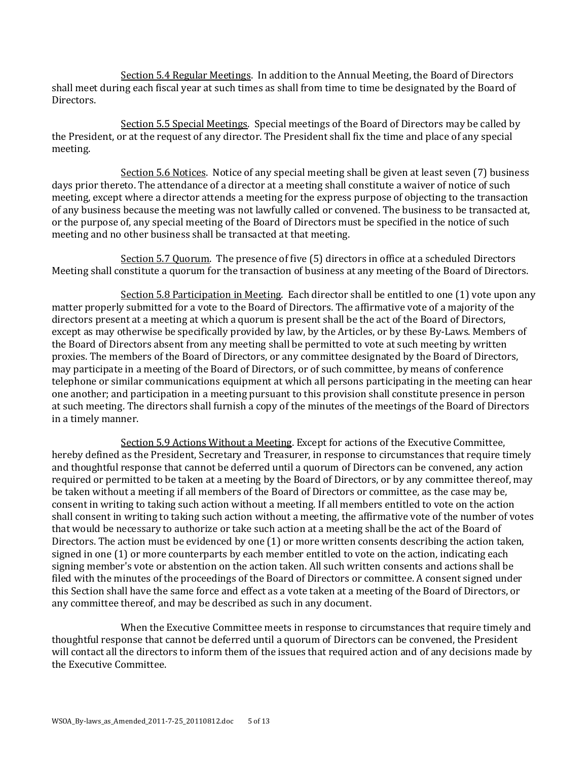Section 5.4 Regular Meetings. In addition to the Annual Meeting, the Board of Directors shall meet during each fiscal year at such times as shall from time to time be designated by the Board of Directors.

Section 5.5 Special Meetings. Special meetings of the Board of Directors may be called by the President, or at the request of any director. The President shall fix the time and place of any special meeting.

Section 5.6 Notices. Notice of any special meeting shall be given at least seven (7) business days prior thereto. The attendance of a director at a meeting shall constitute a waiver of notice of such meeting, except where a director attends a meeting for the express purpose of objecting to the transaction of any business because the meeting was not lawfully called or convened. The business to be transacted at, or the purpose of, any special meeting of the Board of Directors must be specified in the notice of such meeting and no other business shall be transacted at that meeting.

Section 5.7 Quorum. The presence of five (5) directors in office at a scheduled Directors Meeting shall constitute a quorum for the transaction of business at any meeting of the Board of Directors.

Section 5.8 Participation in Meeting. Each director shall be entitled to one (1) vote upon any matter properly submitted for a vote to the Board of Directors. The affirmative vote of a majority of the directors present at a meeting at which a quorum is present shall be the act of the Board of Directors, except as may otherwise be specifically provided by law, by the Articles, or by these By-Laws. Members of the Board of Directors absent from any meeting shall be permitted to vote at such meeting by written proxies. The members of the Board of Directors, or any committee designated by the Board of Directors, may participate in a meeting of the Board of Directors, or of such committee, by means of conference telephone or similar communications equipment at which all persons participating in the meeting can hear one another; and participation in a meeting pursuant to this provision shall constitute presence in person at such meeting. The directors shall furnish a copy of the minutes of the meetings of the Board of Directors in a timely manner.

Section 5.9 Actions Without a Meeting. Except for actions of the Executive Committee, hereby defined as the President, Secretary and Treasurer, in response to circumstances that require timely and thoughtful response that cannot be deferred until a quorum of Directors can be convened, any action required or permitted to be taken at a meeting by the Board of Directors, or by any committee thereof, may be taken without a meeting if all members of the Board of Directors or committee, as the case may be, consent in writing to taking such action without a meeting. If all members entitled to vote on the action shall consent in writing to taking such action without a meeting, the affirmative vote of the number of votes that would be necessary to authorize or take such action at a meeting shall be the act of the Board of Directors. The action must be evidenced by one (1) or more written consents describing the action taken, signed in one (1) or more counterparts by each member entitled to vote on the action, indicating each signing member's vote or abstention on the action taken. All such written consents and actions shall be filed with the minutes of the proceedings of the Board of Directors or committee. A consent signed under this Section shall have the same force and effect as a vote taken at a meeting of the Board of Directors, or any committee thereof, and may be described as such in any document.

When the Executive Committee meets in response to circumstances that require timely and thoughtful response that cannot be deferred until a quorum of Directors can be convened, the President will contact all the directors to inform them of the issues that required action and of any decisions made by the Executive Committee.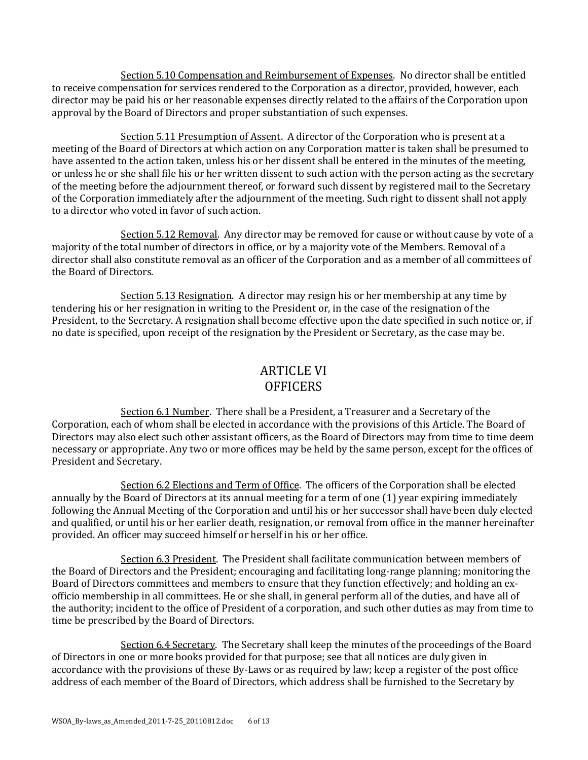Section 5.10 Compensation and Reimbursement of Expenses. No director shall be entitled to receive compensation for services rendered to the Corporation as a director, provided, however, each director may be paid his or her reasonable expenses directly related to the affairs of the Corporation upon approval by the Board of Directors and proper substantiation of such expenses.

Section 5.11 Presumption of Assent. A director of the Corporation who is present at a meeting of the Board of Directors at which action on any Corporation matter is taken shall be presumed to have assented to the action taken, unless his or her dissent shall be entered in the minutes of the meeting, or unless he or she shall file his or her written dissent to such action with the person acting as the secretary of the meeting before the adjournment thereof, or forward such dissent by registered mail to the Secretary of the Corporation immediately after the adjournment of the meeting. Such right to dissent shall not apply to a director who voted in favor of such action.

Section 5.12 Removal. Any director may be removed for cause or without cause by vote of a majority of the total number of directors in office, or by a majority vote of the Members. Removal of a director shall also constitute removal as an officer of the Corporation and as a member of all committees of the Board of Directors.

Section 5.13 Resignation. A director may resign his or her membership at any time by tendering his or her resignation in writing to the President or, in the case of the resignation of the President, to the Secretary. A resignation shall become effective upon the date specified in such notice or, if no date is specified, upon receipt of the resignation by the President or Secretary, as the case may be.

# ARTICLE VI **OFFICERS**

Section 6.1 Number. There shall be a President, a Treasurer and a Secretary of the Corporation, each of whom shall be elected in accordance with the provisions of this Article. The Board of Directors may also elect such other assistant officers, as the Board of Directors may from time to time deem necessary or appropriate. Any two or more offices may be held by the same person, except for the offices of President and Secretary.

Section 6.2 Elections and Term of Office. The officers of the Corporation shall be elected annually by the Board of Directors at its annual meeting for a term of one (1) year expiring immediately following the Annual Meeting of the Corporation and until his or her successor shall have been duly elected and qualified, or until his or her earlier death, resignation, or removal from office in the manner hereinafter provided. An officer may succeed himself or herself in his or her office.

Section 6.3 President. The President shall facilitate communication between members of the Board of Directors and the President; encouraging and facilitating long-range planning; monitoring the Board of Directors committees and members to ensure that they function effectively; and holding an exofficio membership in all committees. He or she shall, in general perform all of the duties, and have all of the authority; incident to the office of President of a corporation, and such other duties as may from time to time be prescribed by the Board of Directors.

Section 6.4 Secretary. The Secretary shall keep the minutes of the proceedings of the Board of Directors in one or more books provided for that purpose; see that all notices are duly given in accordance with the provisions of these By-Laws or as required by law; keep a register of the post office address of each member of the Board of Directors, which address shall be furnished to the Secretary by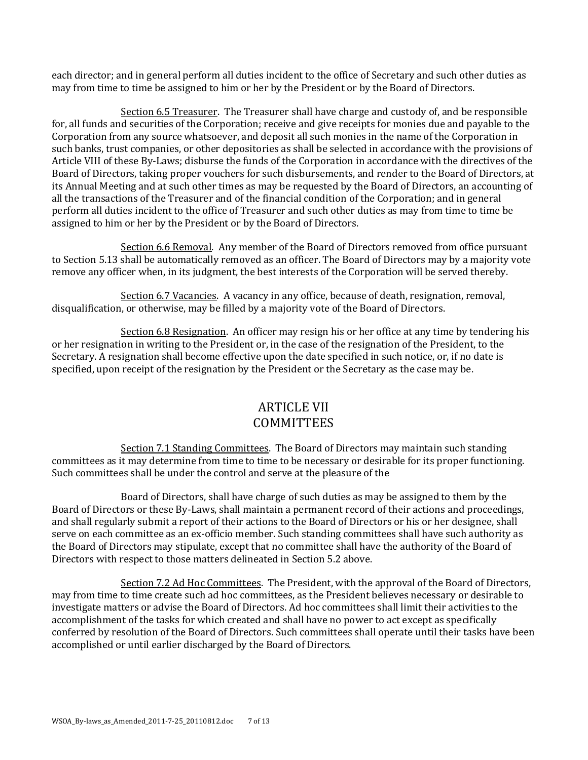each director; and in general perform all duties incident to the office of Secretary and such other duties as may from time to time be assigned to him or her by the President or by the Board of Directors.

Section 6.5 Treasurer. The Treasurer shall have charge and custody of, and be responsible for, all funds and securities of the Corporation; receive and give receipts for monies due and payable to the Corporation from any source whatsoever, and deposit all such monies in the name of the Corporation in such banks, trust companies, or other depositories as shall be selected in accordance with the provisions of Article VIII of these By-Laws; disburse the funds of the Corporation in accordance with the directives of the Board of Directors, taking proper vouchers for such disbursements, and render to the Board of Directors, at its Annual Meeting and at such other times as may be requested by the Board of Directors, an accounting of all the transactions of the Treasurer and of the financial condition of the Corporation; and in general perform all duties incident to the office of Treasurer and such other duties as may from time to time be assigned to him or her by the President or by the Board of Directors.

Section 6.6 Removal. Any member of the Board of Directors removed from office pursuant to Section 5.13 shall be automatically removed as an officer. The Board of Directors may by a majority vote remove any officer when, in its judgment, the best interests of the Corporation will be served thereby.

Section 6.7 Vacancies. A vacancy in any office, because of death, resignation, removal, disqualification, or otherwise, may be filled by a majority vote of the Board of Directors.

Section 6.8 Resignation. An officer may resign his or her office at any time by tendering his or her resignation in writing to the President or, in the case of the resignation of the President, to the Secretary. A resignation shall become effective upon the date specified in such notice, or, if no date is specified, upon receipt of the resignation by the President or the Secretary as the case may be.

# ARTICLE VII **COMMITTEES**

Section 7.1 Standing Committees. The Board of Directors may maintain such standing committees as it may determine from time to time to be necessary or desirable for its proper functioning. Such committees shall be under the control and serve at the pleasure of the

Board of Directors, shall have charge of such duties as may be assigned to them by the Board of Directors or these By-Laws, shall maintain a permanent record of their actions and proceedings, and shall regularly submit a report of their actions to the Board of Directors or his or her designee, shall serve on each committee as an ex-officio member. Such standing committees shall have such authority as the Board of Directors may stipulate, except that no committee shall have the authority of the Board of Directors with respect to those matters delineated in Section 5.2 above.

Section 7.2 Ad Hoc Committees. The President, with the approval of the Board of Directors, may from time to time create such ad hoc committees, as the President believes necessary or desirable to investigate matters or advise the Board of Directors. Ad hoc committees shall limit their activities to the accomplishment of the tasks for which created and shall have no power to act except as specifically conferred by resolution of the Board of Directors. Such committees shall operate until their tasks have been accomplished or until earlier discharged by the Board of Directors.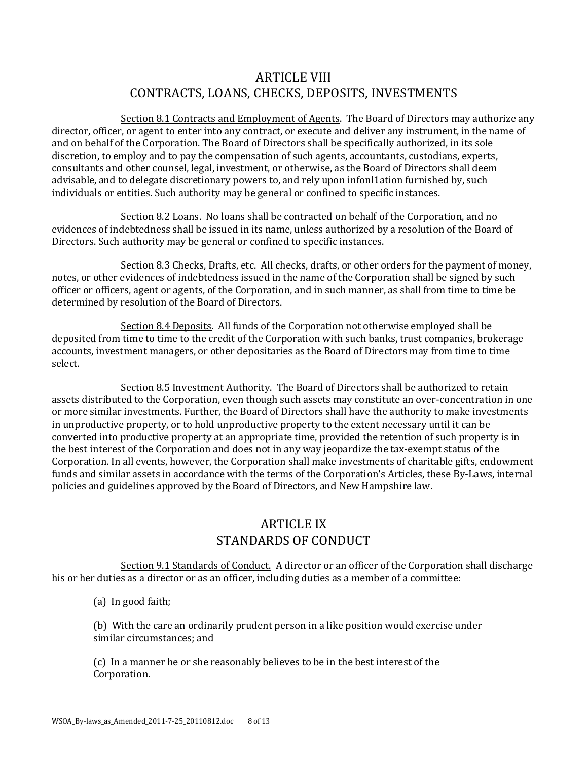# ARTICLE VIII CONTRACTS, LOANS, CHECKS, DEPOSITS, INVESTMENTS

Section 8.1 Contracts and Employment of Agents. The Board of Directors may authorize any director, officer, or agent to enter into any contract, or execute and deliver any instrument, in the name of and on behalf of the Corporation. The Board of Directors shall be specifically authorized, in its sole discretion, to employ and to pay the compensation of such agents, accountants, custodians, experts, consultants and other counsel, legal, investment, or otherwise, as the Board of Directors shall deem advisable, and to delegate discretionary powers to, and rely upon infonl1ation furnished by, such individuals or entities. Such authority may be general or confined to specific instances.

Section 8.2 Loans. No loans shall be contracted on behalf of the Corporation, and no evidences of indebtedness shall be issued in its name, unless authorized by a resolution of the Board of Directors. Such authority may be general or confined to specific instances.

Section 8.3 Checks, Drafts, etc. All checks, drafts, or other orders for the payment of money, notes, or other evidences of indebtedness issued in the name of the Corporation shall be signed by such officer or officers, agent or agents, of the Corporation, and in such manner, as shall from time to time be determined by resolution of the Board of Directors.

Section 8.4 Deposits. All funds of the Corporation not otherwise employed shall be deposited from time to time to the credit of the Corporation with such banks, trust companies, brokerage accounts, investment managers, or other depositaries as the Board of Directors may from time to time select.

Section 8.5 Investment Authority. The Board of Directors shall be authorized to retain assets distributed to the Corporation, even though such assets may constitute an over-concentration in one or more similar investments. Further, the Board of Directors shall have the authority to make investments in unproductive property, or to hold unproductive property to the extent necessary until it can be converted into productive property at an appropriate time, provided the retention of such property is in the best interest of the Corporation and does not in any way jeopardize the tax-exempt status of the Corporation. In all events, however, the Corporation shall make investments of charitable gifts, endowment funds and similar assets in accordance with the terms of the Corporation's Articles, these By-Laws, internal policies and guidelines approved by the Board of Directors, and New Hampshire law.

# ARTICLE IX STANDARDS OF CONDUCT

Section 9.1 Standards of Conduct. A director or an officer of the Corporation shall discharge his or her duties as a director or as an officer, including duties as a member of a committee:

(a) In good faith;

(b) With the care an ordinarily prudent person in a like position would exercise under similar circumstances; and

(c) In a manner he or she reasonably believes to be in the best interest of the Corporation.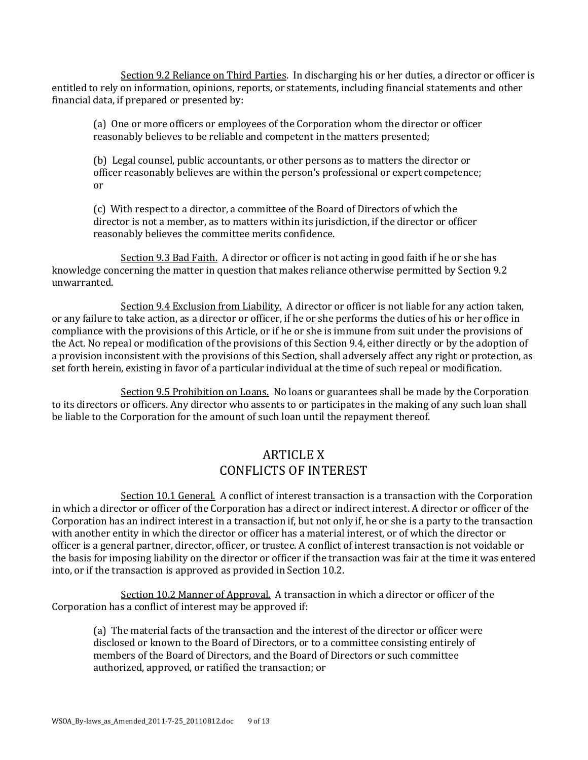Section 9.2 Reliance on Third Parties. In discharging his or her duties, a director or officer is entitled to rely on information, opinions, reports, or statements, including financial statements and other financial data, if prepared or presented by:

(a) One or more officers or employees of the Corporation whom the director or officer reasonably believes to be reliable and competent in the matters presented;

(b) Legal counsel, public accountants, or other persons as to matters the director or officer reasonably believes are within the person's professional or expert competence; or

(c) With respect to a director, a committee of the Board of Directors of which the director is not a member, as to matters within its jurisdiction, if the director or officer reasonably believes the committee merits confidence.

Section 9.3 Bad Faith. A director or officer is not acting in good faith if he or she has knowledge concerning the matter in question that makes reliance otherwise permitted by Section 9.2 unwarranted.

Section 9.4 Exclusion from Liability. A director or officer is not liable for any action taken, or any failure to take action, as a director or officer, if he or she performs the duties of his or her office in compliance with the provisions of this Article, or if he or she is immune from suit under the provisions of the Act. No repeal or modification of the provisions of this Section 9.4, either directly or by the adoption of a provision inconsistent with the provisions of this Section, shall adversely affect any right or protection, as set forth herein, existing in favor of a particular individual at the time of such repeal or modification.

Section 9.5 Prohibition on Loans. No loans or guarantees shall be made by the Corporation to its directors or officers. Any director who assents to or participates in the making of any such loan shall be liable to the Corporation for the amount of such loan until the repayment thereof.

# ARTICLE X CONFLICTS OF INTEREST

Section 10.1 General. A conflict of interest transaction is a transaction with the Corporation in which a director or officer of the Corporation has a direct or indirect interest. A director or officer of the Corporation has an indirect interest in a transaction if, but not only if, he or she is a party to the transaction with another entity in which the director or officer has a material interest, or of which the director or officer is a general partner, director, officer, or trustee. A conflict of interest transaction is not voidable or the basis for imposing liability on the director or officer if the transaction was fair at the time it was entered into, or if the transaction is approved as provided in Section 10.2.

Section 10.2 Manner of Approval. A transaction in which a director or officer of the Corporation has a conflict of interest may be approved if:

(a) The material facts of the transaction and the interest of the director or officer were disclosed or known to the Board of Directors, or to a committee consisting entirely of members of the Board of Directors, and the Board of Directors or such committee authorized, approved, or ratified the transaction; or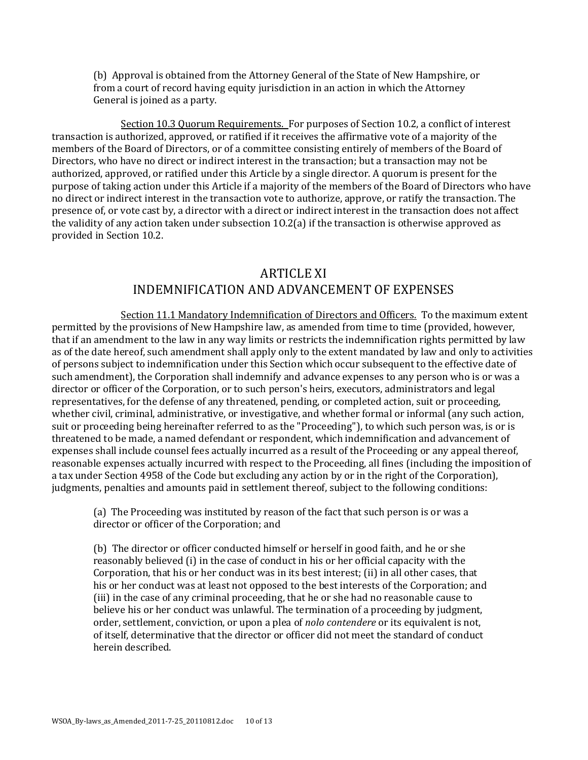(b) Approval is obtained from the Attorney General of the State of New Hampshire, or from a court of record having equity jurisdiction in an action in which the Attorney General is joined as a party.

Section 10.3 Quorum Requirements. For purposes of Section 10.2, a conflict of interest transaction is authorized, approved, or ratified if it receives the affirmative vote of a majority of the members of the Board of Directors, or of a committee consisting entirely of members of the Board of Directors, who have no direct or indirect interest in the transaction; but a transaction may not be authorized, approved, or ratified under this Article by a single director. A quorum is present for the purpose of taking action under this Article if a majority of the members of the Board of Directors who have no direct or indirect interest in the transaction vote to authorize, approve, or ratify the transaction. The presence of, or vote cast by, a director with a direct or indirect interest in the transaction does not affect the validity of any action taken under subsection 1O.2(a) if the transaction is otherwise approved as provided in Section 10.2.

# ARTICLE XI INDEMNIFICATION AND ADVANCEMENT OF EXPENSES

Section 11.1 Mandatory Indemnification of Directors and Officers. To the maximum extent permitted by the provisions of New Hampshire law, as amended from time to time (provided, however, that if an amendment to the law in any way limits or restricts the indemnification rights permitted by law as of the date hereof, such amendment shall apply only to the extent mandated by law and only to activities of persons subject to indemnification under this Section which occur subsequent to the effective date of such amendment), the Corporation shall indemnify and advance expenses to any person who is or was a director or officer of the Corporation, or to such person's heirs, executors, administrators and legal representatives, for the defense of any threatened, pending, or completed action, suit or proceeding, whether civil, criminal, administrative, or investigative, and whether formal or informal (any such action, suit or proceeding being hereinafter referred to as the "Proceeding"), to which such person was, is or is threatened to be made, a named defendant or respondent, which indemnification and advancement of expenses shall include counsel fees actually incurred as a result of the Proceeding or any appeal thereof, reasonable expenses actually incurred with respect to the Proceeding, all fines (including the imposition of a tax under Section 4958 of the Code but excluding any action by or in the right of the Corporation), judgments, penalties and amounts paid in settlement thereof, subject to the following conditions:

(a) The Proceeding was instituted by reason of the fact that such person is or was a director or officer of the Corporation; and

(b) The director or officer conducted himself or herself in good faith, and he or she reasonably believed (i) in the case of conduct in his or her official capacity with the Corporation, that his or her conduct was in its best interest; (ii) in all other cases, that his or her conduct was at least not opposed to the best interests of the Corporation; and (iii) in the case of any criminal proceeding, that he or she had no reasonable cause to believe his or her conduct was unlawful. The termination of a proceeding by judgment, order, settlement, conviction, or upon a plea of *nolo contendere* or its equivalent is not, of itself, determinative that the director or officer did not meet the standard of conduct herein described.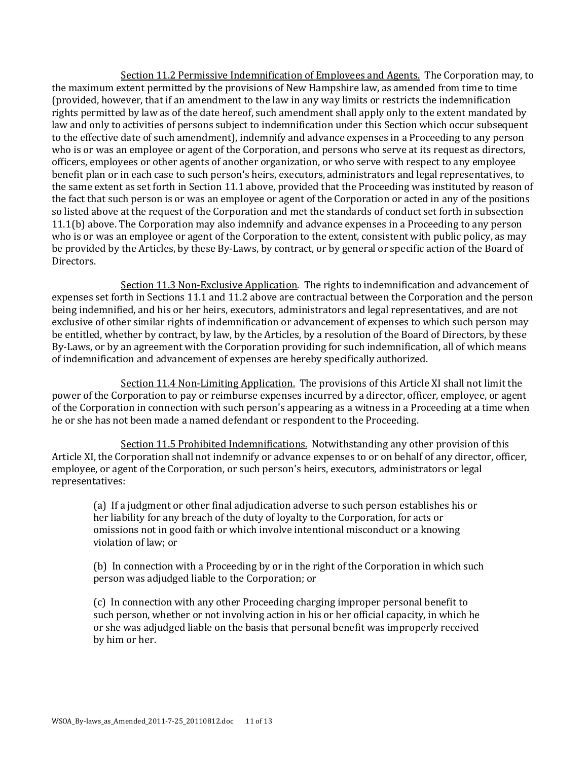Section 11.2 Permissive Indemnification of Employees and Agents. The Corporation may, to the maximum extent permitted by the provisions of New Hampshire law, as amended from time to time (provided, however, that if an amendment to the law in any way limits or restricts the indemnification rights permitted by law as of the date hereof, such amendment shall apply only to the extent mandated by law and only to activities of persons subject to indemnification under this Section which occur subsequent to the effective date of such amendment), indemnify and advance expenses in a Proceeding to any person who is or was an employee or agent of the Corporation, and persons who serve at its request as directors, officers, employees or other agents of another organization, or who serve with respect to any employee benefit plan or in each case to such person's heirs, executors, administrators and legal representatives, to the same extent as set forth in Section 11.1 above, provided that the Proceeding was instituted by reason of the fact that such person is or was an employee or agent of the Corporation or acted in any of the positions so listed above at the request of the Corporation and met the standards of conduct set forth in subsection 11.1(b) above. The Corporation may also indemnify and advance expenses in a Proceeding to any person who is or was an employee or agent of the Corporation to the extent, consistent with public policy, as may be provided by the Articles, by these By-Laws, by contract, or by general or specific action of the Board of Directors.

Section 11.3 Non-Exclusive Application. The rights to indemnification and advancement of expenses set forth in Sections 11.1 and 11.2 above are contractual between the Corporation and the person being indemnified, and his or her heirs, executors, administrators and legal representatives, and are not exclusive of other similar rights of indemnification or advancement of expenses to which such person may be entitled, whether by contract, by law, by the Articles, by a resolution of the Board of Directors, by these By-Laws, or by an agreement with the Corporation providing for such indemnification, all of which means of indemnification and advancement of expenses are hereby specifically authorized.

Section 11.4 Non-Limiting Application. The provisions of this Article XI shall not limit the power of the Corporation to pay or reimburse expenses incurred by a director, officer, employee, or agent of the Corporation in connection with such person's appearing as a witness in a Proceeding at a time when he or she has not been made a named defendant or respondent to the Proceeding.

Section 11.5 Prohibited Indemnifications. Notwithstanding any other provision of this Article XI, the Corporation shall not indemnify or advance expenses to or on behalf of any director, officer, employee, or agent of the Corporation, or such person's heirs, executors, administrators or legal representatives:

(a) If a judgment or other final adjudication adverse to such person establishes his or her liability for any breach of the duty of loyalty to the Corporation, for acts or omissions not in good faith or which involve intentional misconduct or a knowing violation of law; or

(b) In connection with a Proceeding by or in the right of the Corporation in which such person was adjudged liable to the Corporation; or

(c) In connection with any other Proceeding charging improper personal benefit to such person, whether or not involving action in his or her official capacity, in which he or she was adjudged liable on the basis that personal benefit was improperly received by him or her.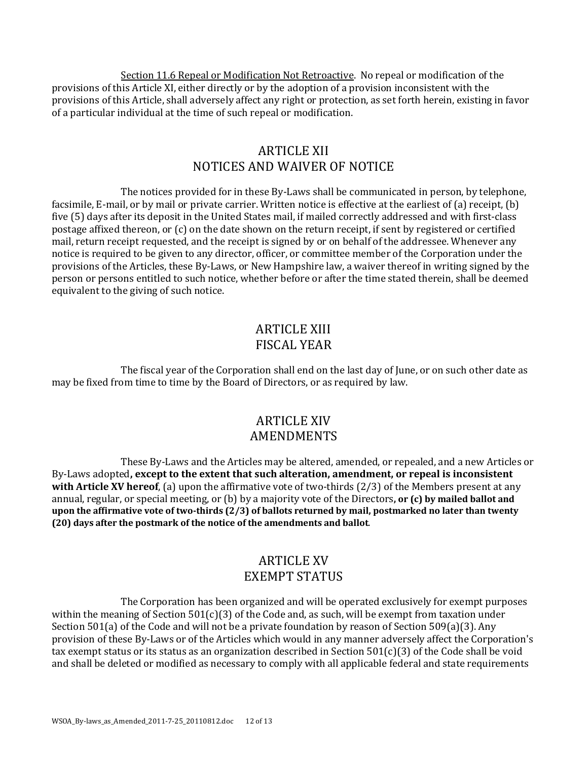Section 11.6 Repeal or Modification Not Retroactive. No repeal or modification of the provisions of this Article XI, either directly or by the adoption of a provision inconsistent with the provisions of this Article, shall adversely affect any right or protection, as set forth herein, existing in favor of a particular individual at the time of such repeal or modification.

#### ARTICLE XII NOTICES AND WAIVER OF NOTICE

The notices provided for in these By-Laws shall be communicated in person, by telephone, facsimile, E-mail, or by mail or private carrier. Written notice is effective at the earliest of (a) receipt, (b) five (5) days after its deposit in the United States mail, if mailed correctly addressed and with first-class postage affixed thereon, or (c) on the date shown on the return receipt, if sent by registered or certified mail, return receipt requested, and the receipt is signed by or on behalf of the addressee. Whenever any notice is required to be given to any director, officer, or committee member of the Corporation under the provisions of the Articles, these By-Laws, or New Hampshire law, a waiver thereof in writing signed by the person or persons entitled to such notice, whether before or after the time stated therein, shall be deemed equivalent to the giving of such notice.

## ARTICLE XIII FISCAL YEAR

The fiscal year of the Corporation shall end on the last day of June, or on such other date as may be fixed from time to time by the Board of Directors, or as required by law.

#### ARTICLE XIV AMENDMENTS

These By-Laws and the Articles may be altered, amended, or repealed, and a new Articles or By-Laws adopted**, except to the extent that such alteration, amendment, or repeal is inconsistent with Article XV hereof**, (a) upon the affirmative vote of two-thirds (2/3) of the Members present at any annual, regular, or special meeting, or (b) by a majority vote of the Directors**, or (c) by mailed ballot and upon the affirmative vote of two-thirds (2/3) of ballots returned by mail, postmarked no later than twenty (20) days after the postmark of the notice of the amendments and ballot**.

# ARTICLE XV EXEMPT STATUS

The Corporation has been organized and will be operated exclusively for exempt purposes within the meaning of Section 501(c)(3) of the Code and, as such, will be exempt from taxation under Section 501(a) of the Code and will not be a private foundation by reason of Section 509(a)(3). Any provision of these By-Laws or of the Articles which would in any manner adversely affect the Corporation's tax exempt status or its status as an organization described in Section 501(c)(3) of the Code shall be void and shall be deleted or modified as necessary to comply with all applicable federal and state requirements